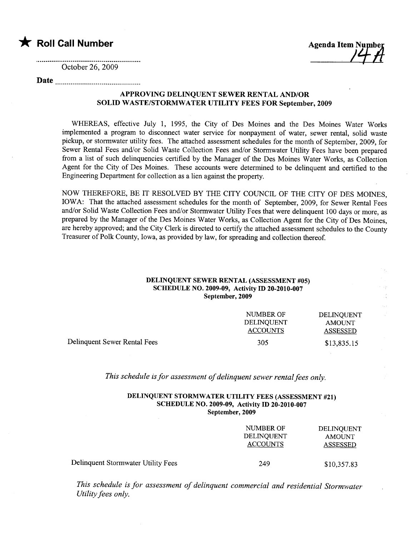$\bigstar$  Roll Call Number  $\bigstar$  Agenda Item Number

October 26, 2009

# Date

## APPROVING DELINQUENT SEWER RENTAL AND/OR SOLID WASTE/STORMWATER UTILITY FEES FOR September, 2009

WHEREAS, effective July 1, 1995, the City of Des Moines and the Des Moines Water Works implemented a program to disconnect water service for nonpayment of water, sewer rental, solid waste pickup, or stormwater utility fees. The attached assessment schedules for the month of September, 2009, for Sewer Rental Fees and/or Solid Waste Collection Fees and/or Stormwater Utility Fees have been prepared from a list of such delinquencies certified by the Manager of the Des Moines Water Works, as Collection Agent for the City of Des Moines. These accounts were determined to be delinquent and certified to the Engineering Department for collection as a lien against the propert.

NOW THEREFORE, BE IT RESOLVED BY THE CITY COUNCIL OF THE CITY OF DES MOINES, IOWA: That the attached assessment schedules for the month of September, 2009, for Sewer Rental Fees and/or Solid Waste Collection Fees and/or Stormwater Utility Fees that were delinquent 100 days or more, as prepared by the Manager of the Des Moines Water Works, as Collection Agent for the City of Des Moines, are hereby approved; and the City Clerk is directed to certify the attached assessment schedules to the County Treasurer of Polk County, Iowa, as provided by law, for spreading and collection thereof.

### DELINQUENT SEWER RENTAL (ASSESSMENT #05) SCHEDULE NO. 2009-09, Activity ID 20-2010-007 September, 2009

|                              | NUMBER OF<br>DELINOUENT<br><b>ACCOUNTS</b> | DELINOUENT<br><b>AMOUNT</b><br>ASSESSED |
|------------------------------|--------------------------------------------|-----------------------------------------|
| Delinquent Sewer Rental Fees | 305                                        | \$13,835.15                             |

This schedule is for assessment of delinquent sewer rental fees only.

#### DELINQUENT STORMWATER UTILITY FEES (ASSESSMENT #21) SCHEDULE NO. 2009-09, Activity ID 20-2010-007 September, 2009

|                                    | NUMBER OF<br><b>DELINQUENT</b><br><b>ACCOUNTS</b> | <b>DELINQUENT</b><br>AMOUNT<br>ASSESSED |
|------------------------------------|---------------------------------------------------|-----------------------------------------|
| Delinquent Stormwater Utility Fees | 249                                               | \$10,357.83                             |

This schedule is for assessment of delinquent commercial and residential Stormwater Utility fees only.